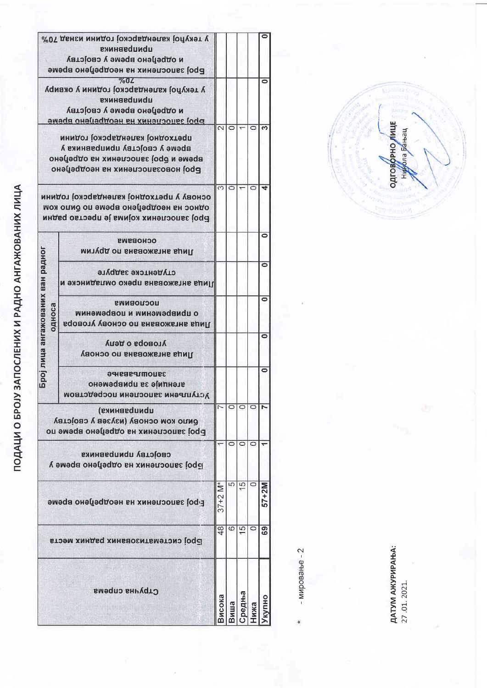|                                                                                                                                             | Стручна спрема                                                                                                                        | 1СОКА                   | ∥Ша     | редња         | <b>IXA</b>         | ОНПИ      |
|---------------------------------------------------------------------------------------------------------------------------------------------|---------------------------------------------------------------------------------------------------------------------------------------|-------------------------|---------|---------------|--------------------|-----------|
| <b>Eppo запослених на неодребно време</b><br>Број систематизованих радних места                                                             |                                                                                                                                       | $\frac{8}{48}$          | 6       | $\frac{6}{1}$ | O                  | စ္ထ       |
|                                                                                                                                             |                                                                                                                                       | $37 + 2$ M <sup>*</sup> | 5       | $\frac{6}{1}$ | $\circ$            | 57+2M     |
|                                                                                                                                             | својству приправника<br>род запослених на одређено време у                                                                            |                         | $\circ$ | $\circ$       | $\circ$            |           |
| приправника)<br>риио ком основу (изузев у својству<br>Број запослених на одређено време по                                                  |                                                                                                                                       |                         |         |               |                    |           |
|                                                                                                                                             | зацопътивенне<br>агенције за привремено<br>Уступљени запослени посредством                                                            |                         |         |               |                    | $\bullet$ |
|                                                                                                                                             | уговора о делу<br>Лица ангажована по основу                                                                                           |                         |         |               |                    | $\bullet$ |
| Број лица ангажованих ван радног<br>раноса                                                                                                  | <b>UOCUOBNWS</b><br>о црмвременми и цовременми<br>Лица ангажована по основу уговора                                                   |                         |         |               |                    | $\bullet$ |
|                                                                                                                                             | студентске задруге<br>Лица ангажована преко омладинске и                                                                              |                         |         |               |                    | $\bullet$ |
|                                                                                                                                             | <b>ОСНОВЗИЗ</b><br>Лица ангажована по другим                                                                                          |                         |         |               |                    | C         |
|                                                                                                                                             | основу у претходној календарској години<br>однос на неодрефено време по било ком<br>Број запослених којима је престао радни           | 3                       | $\circ$ |               | $\circ$            |           |
| претходној календарској години<br>време у својству приправника у<br>вbewe и oboj запосиених на отbeuou<br>роој новоззиосиених на неодрефоно |                                                                                                                                       |                         |         |               |                    |           |
| у текупој календарској години у оквиру<br>приправника<br>и отререно време у својству<br>роод зацосцених на неодребено време                 |                                                                                                                                       |                         | $\circ$ |               | $\overline{\circ}$ | 69        |
|                                                                                                                                             | у текућој календарској години изнад 70%<br>приправника<br>и отререно време у својству<br>pod запослених на неопререно време<br>$\%0L$ |                         |         |               |                    | c         |

 $-$  MMpoBaHe  $-2$ 

ДАТУМ АЖУРИРАЊА:<br>27 .01. 2021.

ПОДАЦИ О БРОЈУ ЗАПОСЛЕНИХ И РАДНО АНГАЖОВАНИХ ЛИЦА

одговорно лице<br>Никола Бањац